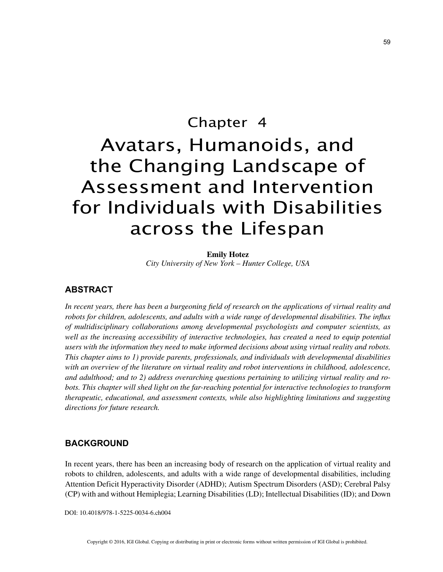# Chapter 4 Avatars, Humanoids, and the Changing Landscape of Assessment and Intervention for Individuals with Disabilities across the Lifespan

**Emily Hotez**

*City University of New York – Hunter College, USA*

# **ABSTRACT**

*In recent years, there has been a burgeoning field of research on the applications of virtual reality and robots for children, adolescents, and adults with a wide range of developmental disabilities. The influx of multidisciplinary collaborations among developmental psychologists and computer scientists, as well as the increasing accessibility of interactive technologies, has created a need to equip potential users with the information they need to make informed decisions about using virtual reality and robots. This chapter aims to 1) provide parents, professionals, and individuals with developmental disabilities with an overview of the literature on virtual reality and robot interventions in childhood, adolescence, and adulthood; and to 2) address overarching questions pertaining to utilizing virtual reality and robots. This chapter will shed light on the far-reaching potential for interactive technologies to transform therapeutic, educational, and assessment contexts, while also highlighting limitations and suggesting directions for future research.*

## **BACKGROUND**

In recent years, there has been an increasing body of research on the application of virtual reality and robots to children, adolescents, and adults with a wide range of developmental disabilities, including Attention Deficit Hyperactivity Disorder (ADHD); Autism Spectrum Disorders (ASD); Cerebral Palsy (CP) with and without Hemiplegia; Learning Disabilities (LD); Intellectual Disabilities (ID); and Down

DOI: 10.4018/978-1-5225-0034-6.ch004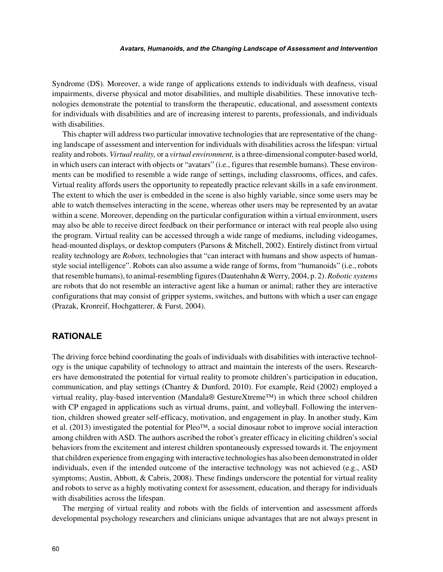#### *Avatars, Humanoids, and the Changing Landscape of Assessment and Intervention*

Syndrome (DS). Moreover, a wide range of applications extends to individuals with deafness, visual impairments, diverse physical and motor disabilities, and multiple disabilities. These innovative technologies demonstrate the potential to transform the therapeutic, educational, and assessment contexts for individuals with disabilities and are of increasing interest to parents, professionals, and individuals with disabilities.

This chapter will address two particular innovative technologies that are representative of the changing landscape of assessment and intervention for individuals with disabilities across the lifespan: virtual reality and robots. *Virtual reality,* or a *virtual environment,* is a three-dimensional computer-based world, in which users can interact with objects or "avatars" (i.e., figures that resemble humans). These environments can be modified to resemble a wide range of settings, including classrooms, offices, and cafes. Virtual reality affords users the opportunity to repeatedly practice relevant skills in a safe environment. The extent to which the user is embedded in the scene is also highly variable, since some users may be able to watch themselves interacting in the scene, whereas other users may be represented by an avatar within a scene. Moreover, depending on the particular configuration within a virtual environment, users may also be able to receive direct feedback on their performance or interact with real people also using the program. Virtual reality can be accessed through a wide range of mediums, including videogames, head-mounted displays, or desktop computers (Parsons & Mitchell, 2002). Entirely distinct from virtual reality technology are *Robots,* technologies that "can interact with humans and show aspects of humanstyle social intelligence". Robots can also assume a wide range of forms, from "humanoids" (i.e., robots that resemble humans), to animal-resembling figures (Dautenhahn & Werry, 2004, p. 2). *Robotic systems* are robots that do not resemble an interactive agent like a human or animal; rather they are interactive configurations that may consist of gripper systems, switches, and buttons with which a user can engage (Prazak, Kronreif, Hochgatterer, & Furst, 2004).

## **RATIONALE**

The driving force behind coordinating the goals of individuals with disabilities with interactive technology is the unique capability of technology to attract and maintain the interests of the users. Researchers have demonstrated the potential for virtual reality to promote children's participation in education, communication, and play settings (Chantry & Dunford, 2010). For example, Reid (2002) employed a virtual reality, play-based intervention (Mandala® GestureXtreme™) in which three school children with CP engaged in applications such as virtual drums, paint, and volleyball. Following the intervention, children showed greater self-efficacy, motivation, and engagement in play. In another study, Kim et al. (2013) investigated the potential for Pleo<sup>™</sup>, a social dinosaur robot to improve social interaction among children with ASD. The authors ascribed the robot's greater efficacy in eliciting children's social behaviors from the excitement and interest children spontaneously expressed towards it. The enjoyment that children experience from engaging with interactive technologies has also been demonstrated in older individuals, even if the intended outcome of the interactive technology was not achieved (e.g., ASD symptoms; Austin, Abbott, & Cabris, 2008). These findings underscore the potential for virtual reality and robots to serve as a highly motivating context for assessment, education, and therapy for individuals with disabilities across the lifespan.

The merging of virtual reality and robots with the fields of intervention and assessment affords developmental psychology researchers and clinicians unique advantages that are not always present in